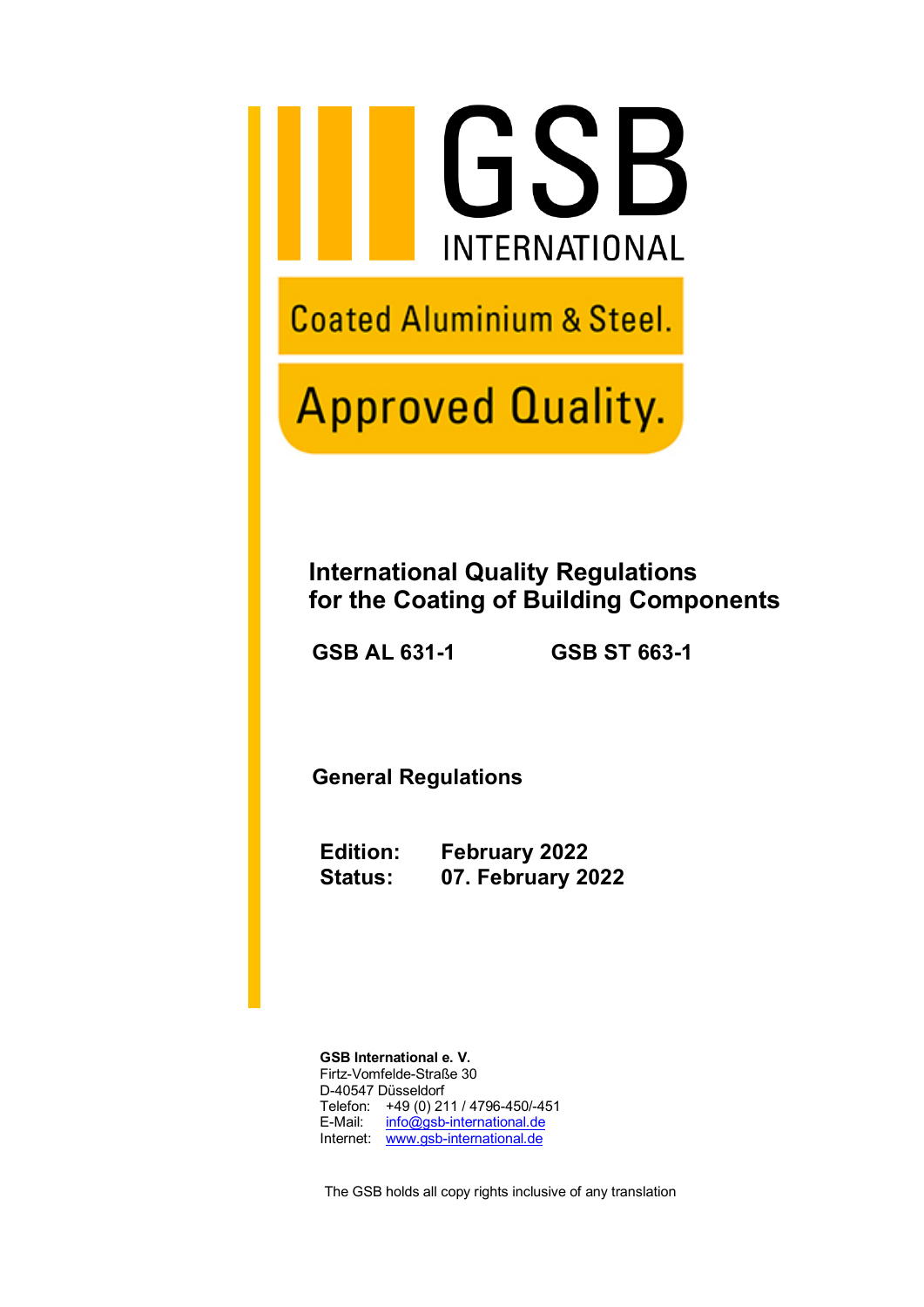

**Coated Aluminium & Steel.** 

# **Approved Quality.**

## **International Quality Regulations for the Coating of Building Components**

 **GSB AL 631-1 GSB ST 663-1**

 **General Regulations**

**Edition: February 2022 Status: 07. February 2022**

**GSB International e. V.** Firtz-Vomfelde-Straße 30 D-40547 Düsseldorf Telefon: +49 (0) 211 / 4796-450/-451 E-Mail: [info@gsb-international.de](mailto:info@gsb-international.de) Internet: [www.gsb-international.de](http://www.gsb-international.de/)

The GSB holds all copy rights inclusive of any translation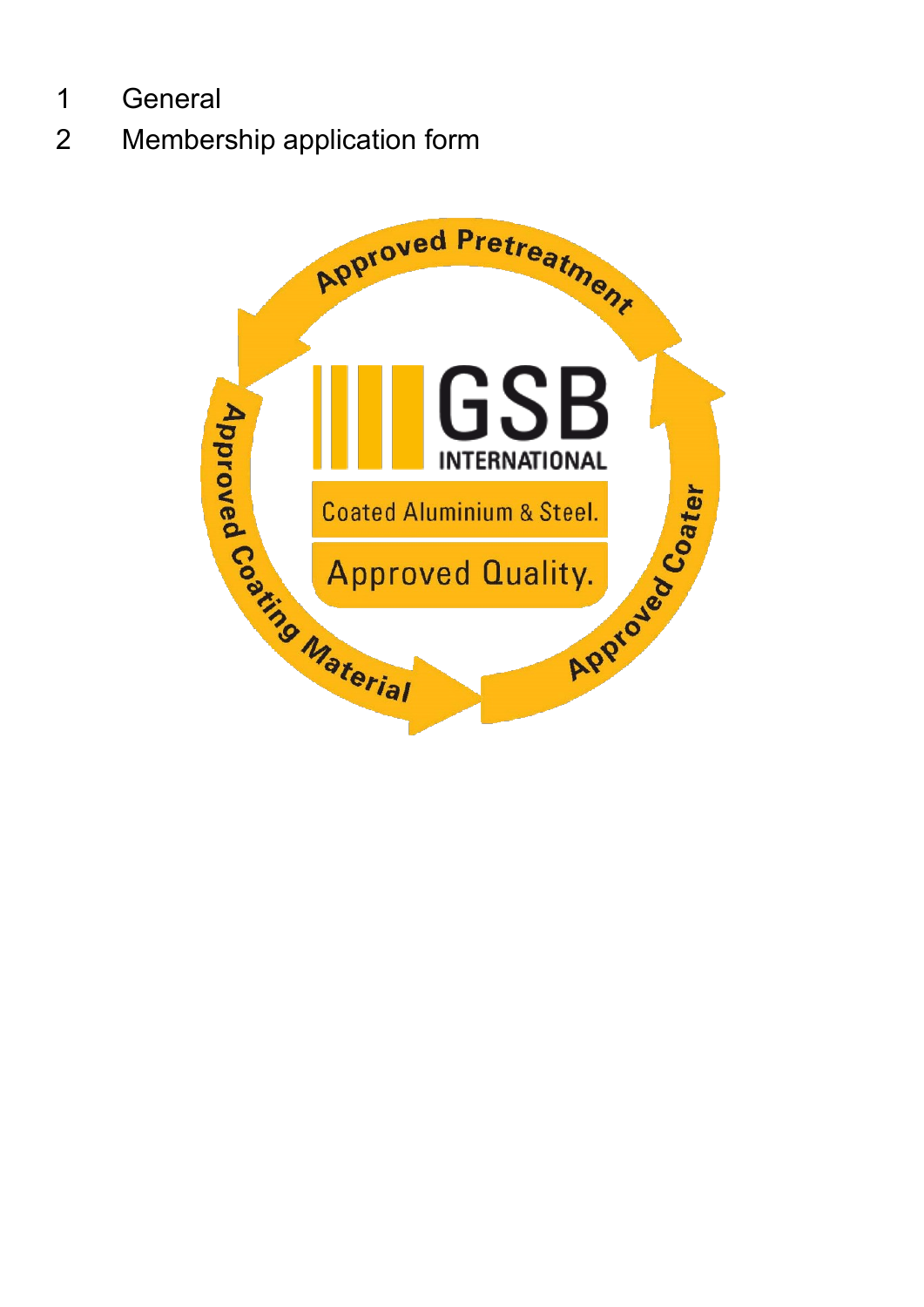- General
- Membership application form

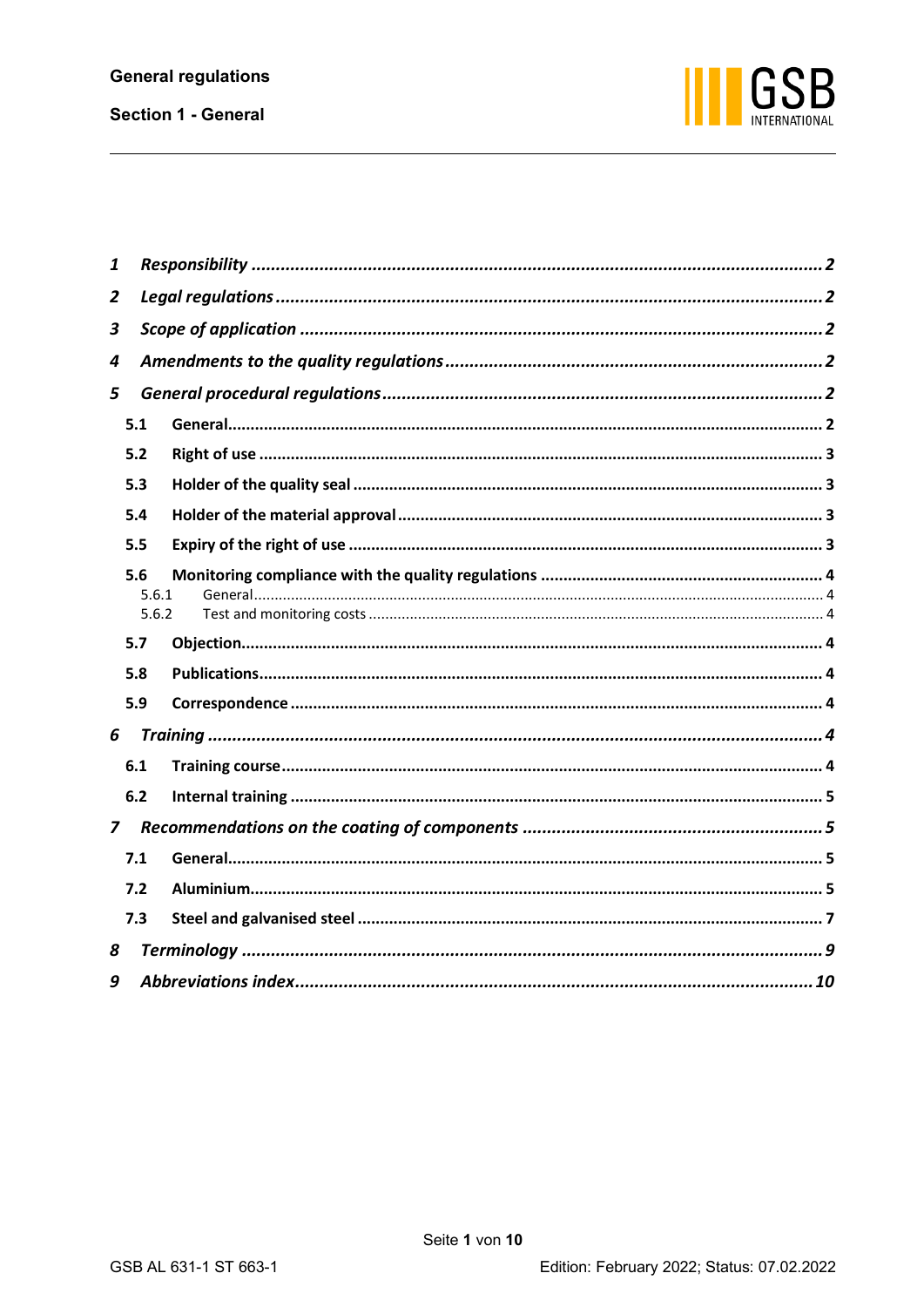

| 1              |                       |  |  |  |  |  |  |  |  |
|----------------|-----------------------|--|--|--|--|--|--|--|--|
| 2              |                       |  |  |  |  |  |  |  |  |
| 3              |                       |  |  |  |  |  |  |  |  |
| 4              |                       |  |  |  |  |  |  |  |  |
| 5              |                       |  |  |  |  |  |  |  |  |
|                | 5.1                   |  |  |  |  |  |  |  |  |
|                | 5.2                   |  |  |  |  |  |  |  |  |
|                | 5.3                   |  |  |  |  |  |  |  |  |
|                | 5.4                   |  |  |  |  |  |  |  |  |
|                | 5.5                   |  |  |  |  |  |  |  |  |
|                | 5.6<br>5.6.1<br>5.6.2 |  |  |  |  |  |  |  |  |
|                | 5.7                   |  |  |  |  |  |  |  |  |
|                | 5.8                   |  |  |  |  |  |  |  |  |
|                | 5.9                   |  |  |  |  |  |  |  |  |
| 6              |                       |  |  |  |  |  |  |  |  |
|                | 6.1                   |  |  |  |  |  |  |  |  |
|                | 6.2                   |  |  |  |  |  |  |  |  |
| $\overline{z}$ |                       |  |  |  |  |  |  |  |  |
|                | 7.1                   |  |  |  |  |  |  |  |  |
|                | 7.2                   |  |  |  |  |  |  |  |  |
|                | 7.3                   |  |  |  |  |  |  |  |  |
| 8              |                       |  |  |  |  |  |  |  |  |
| 9              |                       |  |  |  |  |  |  |  |  |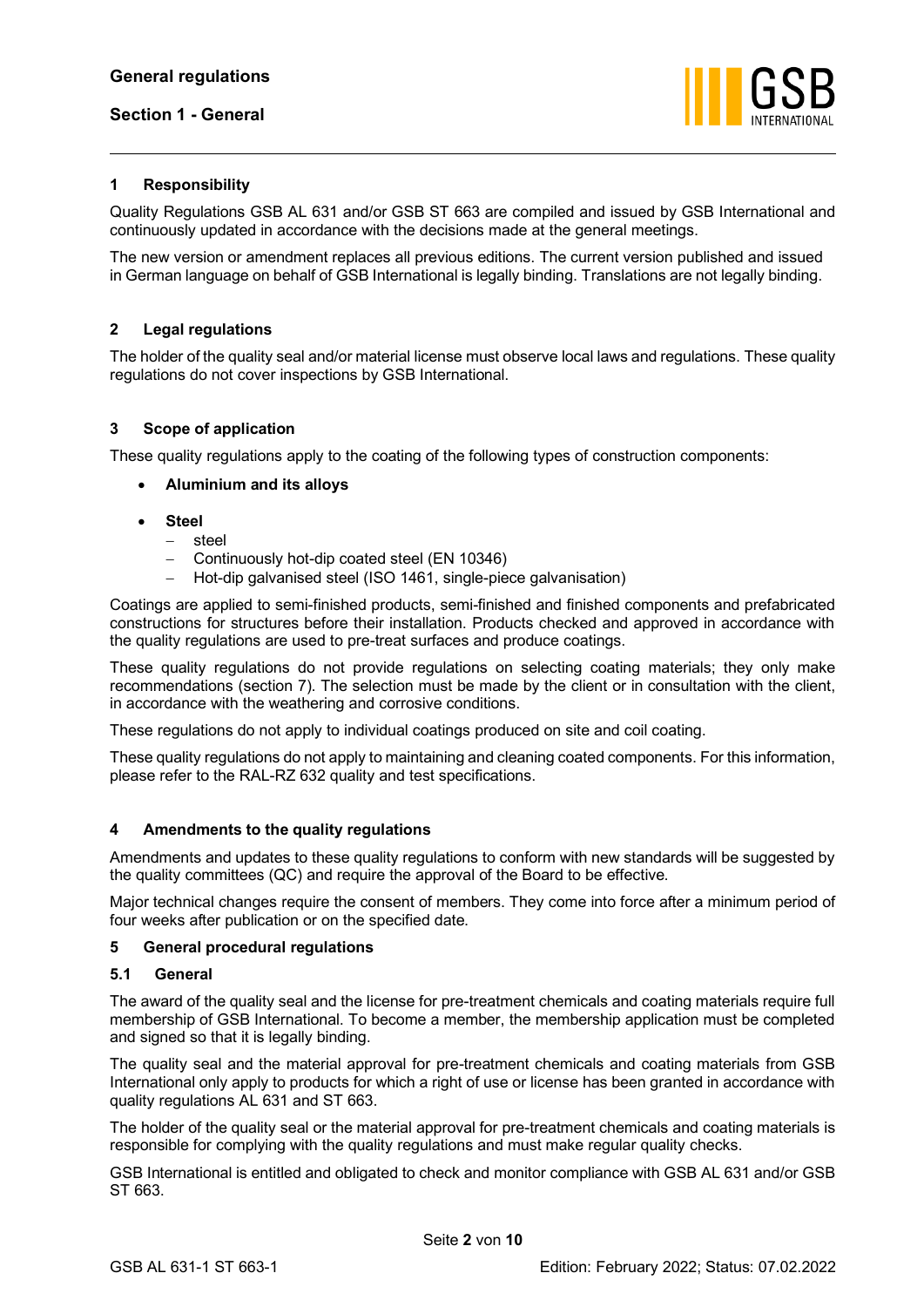

## <span id="page-3-0"></span>**1 Responsibility**

Quality Regulations GSB AL 631 and/or GSB ST 663 are compiled and issued by GSB International and continuously updated in accordance with the decisions made at the general meetings.

The new version or amendment replaces all previous editions. The current version published and issued in German language on behalf of GSB International is legally binding. Translations are not legally binding.

#### <span id="page-3-1"></span>**2 Legal regulations**

The holder of the quality seal and/or material license must observe local laws and regulations. These quality regulations do not cover inspections by GSB International.

#### <span id="page-3-2"></span>**3 Scope of application**

These quality regulations apply to the coating of the following types of construction components:

- **Aluminium and its alloys**
- **Steel**
	- − steel
	- − Continuously hot-dip coated steel (EN 10346)
	- − Hot-dip galvanised steel (ISO 1461, single-piece galvanisation)

Coatings are applied to semi-finished products, semi-finished and finished components and prefabricated constructions for structures before their installation. Products checked and approved in accordance with the quality regulations are used to pre-treat surfaces and produce coatings.

These quality regulations do not provide regulations on selecting coating materials; they only make recommendations (section [7\)](#page-6-1). The selection must be made by the client or in consultation with the client, in accordance with the weathering and corrosive conditions.

These regulations do not apply to individual coatings produced on site and coil coating.

These quality regulations do not apply to maintaining and cleaning coated components. For this information, please refer to the RAL-RZ 632 quality and test specifications.

#### <span id="page-3-3"></span>**4 Amendments to the quality regulations**

Amendments and updates to these quality regulations to conform with new standards will be suggested by the quality committees (QC) and require the approval of the Board to be effective.

Major technical changes require the consent of members. They come into force after a minimum period of four weeks after publication or on the specified date.

#### <span id="page-3-4"></span>**5 General procedural regulations**

#### <span id="page-3-5"></span>**5.1 General**

The award of the quality seal and the license for pre-treatment chemicals and coating materials require full membership of GSB International. To become a member, the membership application must be completed and signed so that it is legally binding.

The quality seal and the material approval for pre-treatment chemicals and coating materials from GSB International only apply to products for which a right of use or license has been granted in accordance with quality regulations AL 631 and ST 663.

The holder of the quality seal or the material approval for pre-treatment chemicals and coating materials is responsible for complying with the quality regulations and must make regular quality checks.

GSB International is entitled and obligated to check and monitor compliance with GSB AL 631 and/or GSB ST 663.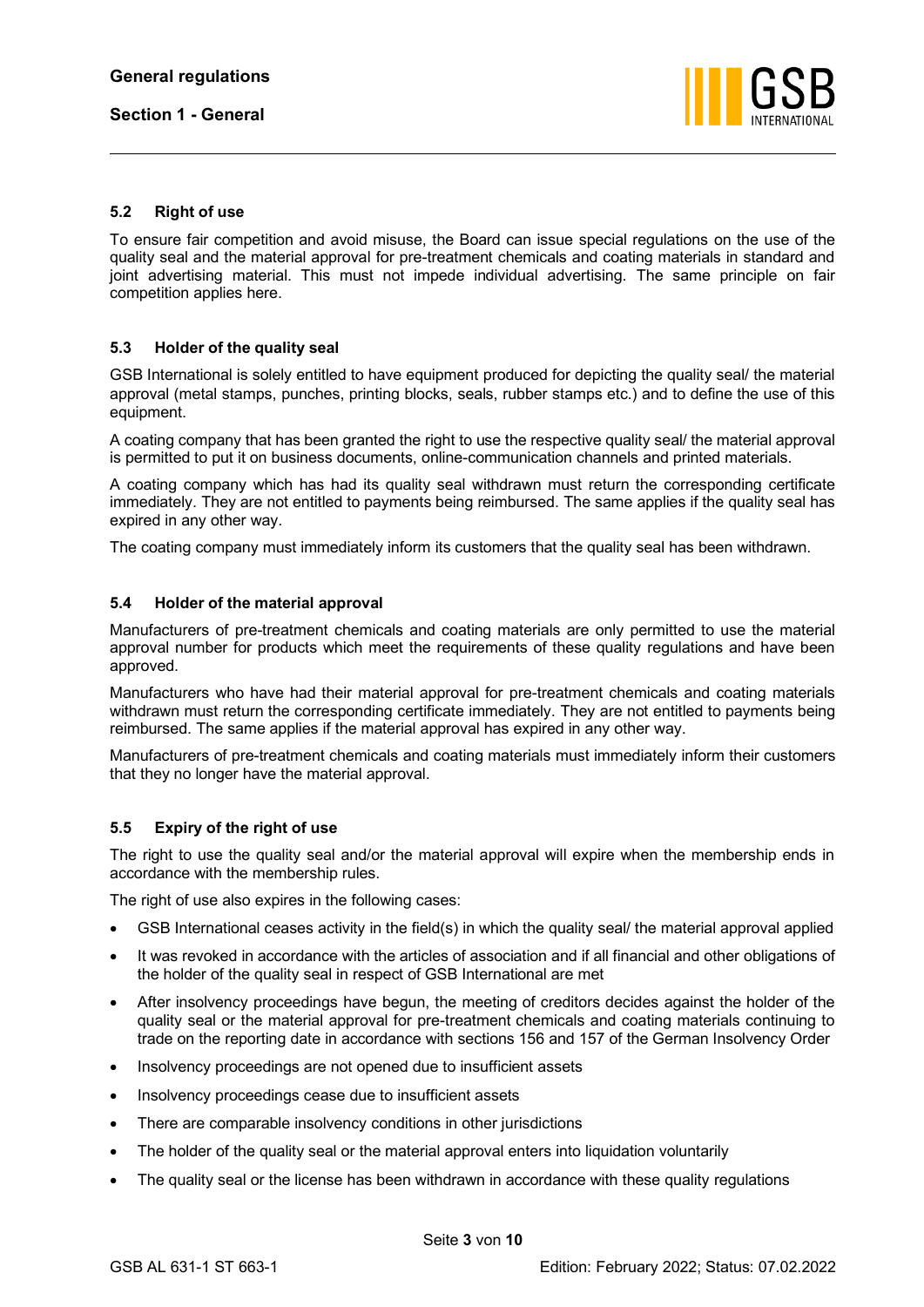

## <span id="page-4-0"></span>**5.2 Right of use**

To ensure fair competition and avoid misuse, the Board can issue special regulations on the use of the quality seal and the material approval for pre-treatment chemicals and coating materials in standard and joint advertising material. This must not impede individual advertising. The same principle on fair competition applies here.

## <span id="page-4-1"></span>**5.3 Holder of the quality seal**

GSB International is solely entitled to have equipment produced for depicting the quality seal/ the material approval (metal stamps, punches, printing blocks, seals, rubber stamps etc.) and to define the use of this equipment.

A coating company that has been granted the right to use the respective quality seal/ the material approval is permitted to put it on business documents, online-communication channels and printed materials.

A coating company which has had its quality seal withdrawn must return the corresponding certificate immediately. They are not entitled to payments being reimbursed. The same applies if the quality seal has expired in any other way.

The coating company must immediately inform its customers that the quality seal has been withdrawn.

## <span id="page-4-2"></span>**5.4 Holder of the material approval**

Manufacturers of pre-treatment chemicals and coating materials are only permitted to use the material approval number for products which meet the requirements of these quality regulations and have been approved.

Manufacturers who have had their material approval for pre-treatment chemicals and coating materials withdrawn must return the corresponding certificate immediately. They are not entitled to payments being reimbursed. The same applies if the material approval has expired in any other way.

Manufacturers of pre-treatment chemicals and coating materials must immediately inform their customers that they no longer have the material approval.

## <span id="page-4-3"></span>**5.5 Expiry of the right of use**

The right to use the quality seal and/or the material approval will expire when the membership ends in accordance with the membership rules.

The right of use also expires in the following cases:

- GSB International ceases activity in the field(s) in which the quality seal/ the material approval applied
- It was revoked in accordance with the articles of association and if all financial and other obligations of the holder of the quality seal in respect of GSB International are met
- After insolvency proceedings have begun, the meeting of creditors decides against the holder of the quality seal or the material approval for pre-treatment chemicals and coating materials continuing to trade on the reporting date in accordance with sections 156 and 157 of the German Insolvency Order
- Insolvency proceedings are not opened due to insufficient assets
- Insolvency proceedings cease due to insufficient assets
- There are comparable insolvency conditions in other jurisdictions
- The holder of the quality seal or the material approval enters into liquidation voluntarily
- The quality seal or the license has been withdrawn in accordance with these quality regulations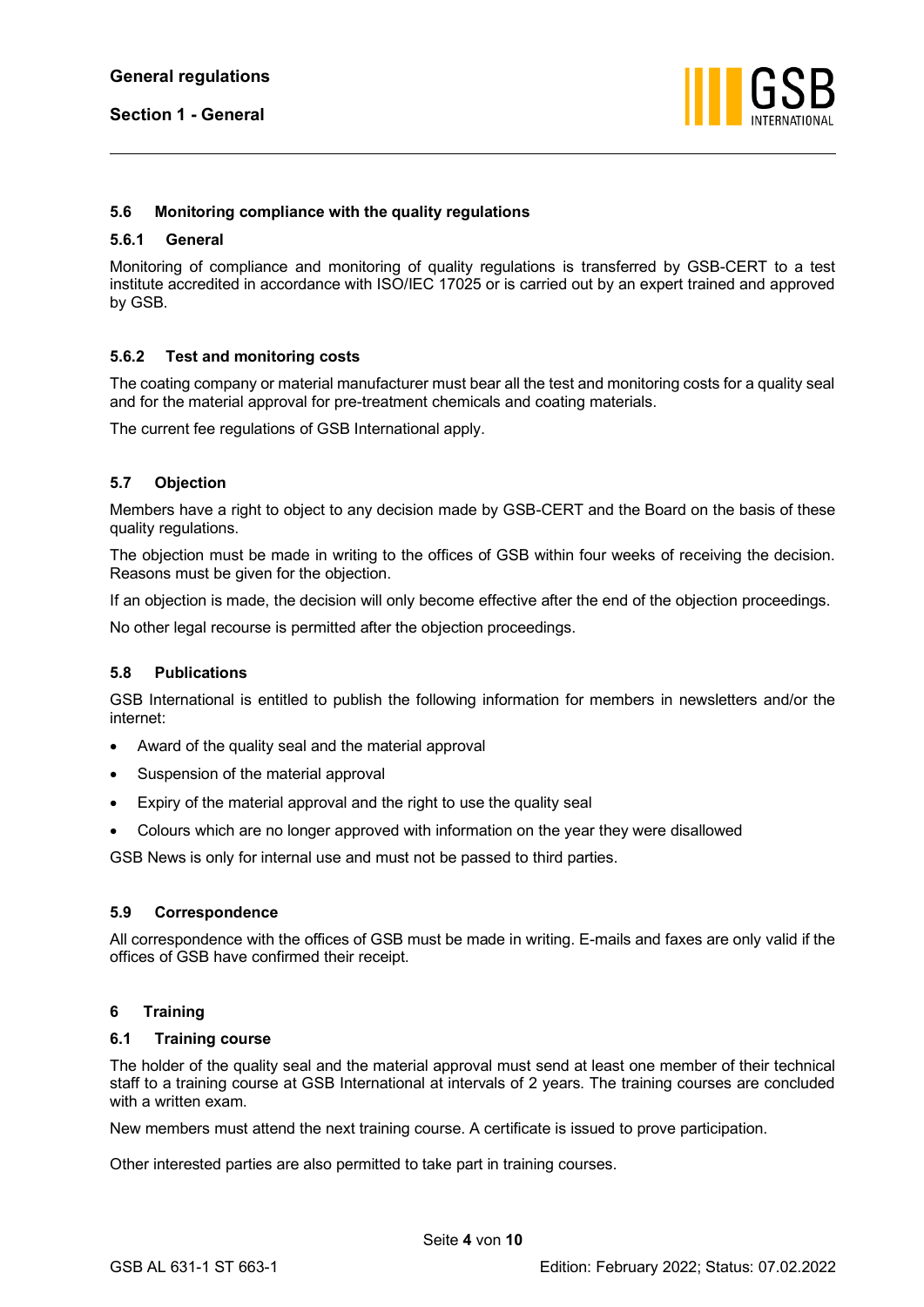

## <span id="page-5-0"></span>**5.6 Monitoring compliance with the quality regulations**

#### <span id="page-5-1"></span>**5.6.1 General**

Monitoring of compliance and monitoring of quality regulations is transferred by GSB-CERT to a test institute accredited in accordance with ISO/IEC 17025 or is carried out by an expert trained and approved by GSB.

## <span id="page-5-2"></span>**5.6.2 Test and monitoring costs**

The coating company or material manufacturer must bear all the test and monitoring costs for a quality seal and for the material approval for pre-treatment chemicals and coating materials.

The current fee regulations of GSB International apply.

## <span id="page-5-3"></span>**5.7 Objection**

Members have a right to object to any decision made by GSB-CERT and the Board on the basis of these quality regulations.

The objection must be made in writing to the offices of GSB within four weeks of receiving the decision. Reasons must be given for the objection.

If an objection is made, the decision will only become effective after the end of the objection proceedings.

No other legal recourse is permitted after the objection proceedings.

## <span id="page-5-4"></span>**5.8 Publications**

GSB International is entitled to publish the following information for members in newsletters and/or the internet:

- Award of the quality seal and the material approval
- Suspension of the material approval
- Expiry of the material approval and the right to use the quality seal
- Colours which are no longer approved with information on the year they were disallowed

GSB News is only for internal use and must not be passed to third parties.

## <span id="page-5-5"></span>**5.9 Correspondence**

All correspondence with the offices of GSB must be made in writing. E-mails and faxes are only valid if the offices of GSB have confirmed their receipt.

## <span id="page-5-6"></span>**6 Training**

#### <span id="page-5-7"></span>**6.1 Training course**

The holder of the quality seal and the material approval must send at least one member of their technical staff to a training course at GSB International at intervals of 2 years. The training courses are concluded with a written exam.

New members must attend the next training course. A certificate is issued to prove participation.

Other interested parties are also permitted to take part in training courses.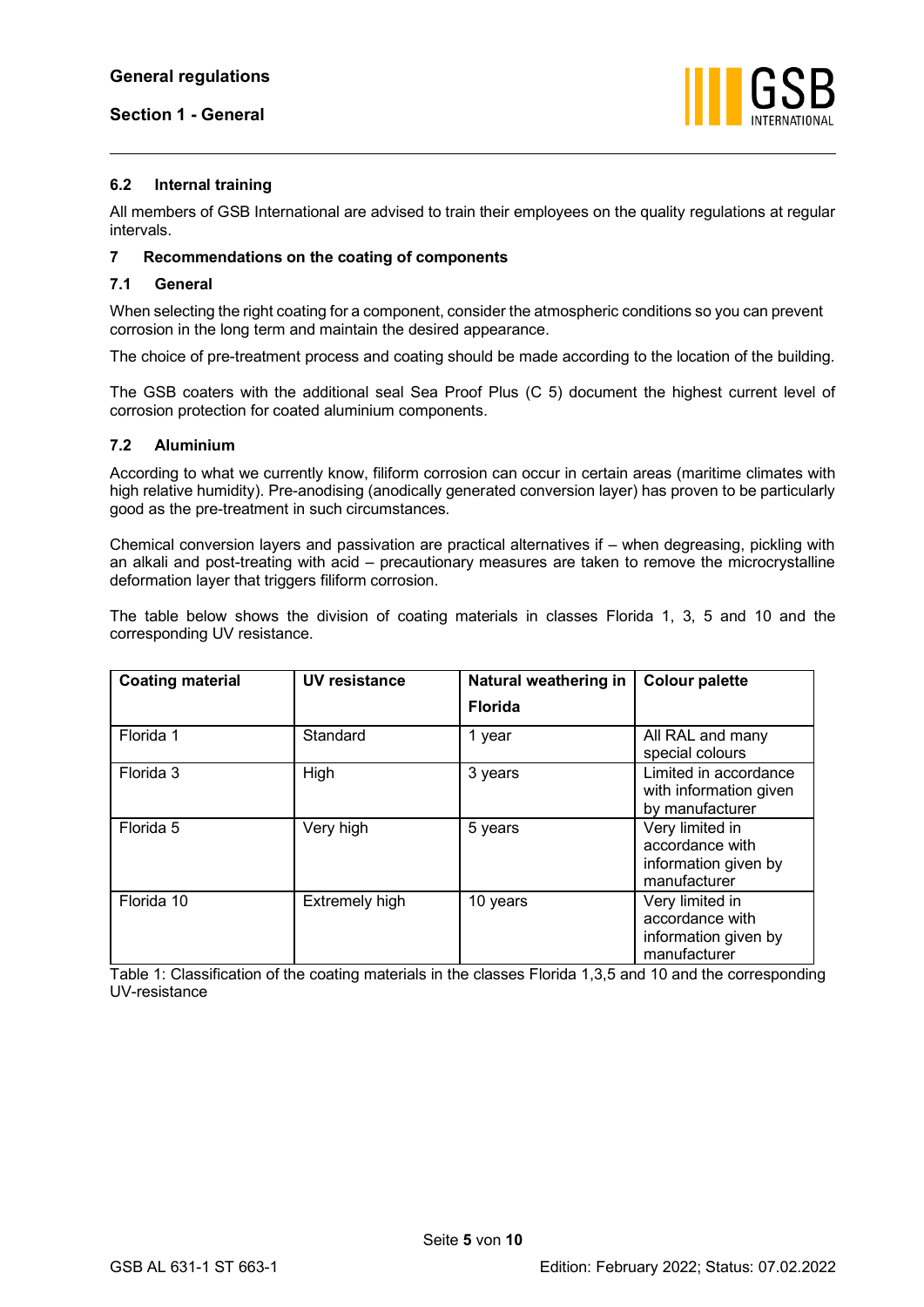

## <span id="page-6-0"></span>**6.2 Internal training**

All members of GSB International are advised to train their employees on the quality regulations at regular intervals.

## <span id="page-6-1"></span>**7 Recommendations on the coating of components**

## <span id="page-6-2"></span>**7.1 General**

When selecting the right coating for a component, consider the atmospheric conditions so you can prevent corrosion in the long term and maintain the desired appearance.

The choice of pre-treatment process and coating should be made according to the location of the building.

The GSB coaters with the additional seal Sea Proof Plus (C 5) document the highest current level of corrosion protection for coated aluminium components.

## <span id="page-6-3"></span>**7.2 Aluminium**

According to what we currently know, filiform corrosion can occur in certain areas (maritime climates with high relative humidity). Pre-anodising (anodically generated conversion layer) has proven to be particularly good as the pre-treatment in such circumstances.

Chemical conversion layers and passivation are practical alternatives if – when degreasing, pickling with an alkali and post-treating with acid – precautionary measures are taken to remove the microcrystalline deformation layer that triggers filiform corrosion.

The table below shows the division of coating materials in classes Florida 1, 3, 5 and 10 and the corresponding UV resistance.

| <b>Coating material</b> | UV resistance  | Natural weathering in | <b>Colour palette</b>                                                      |
|-------------------------|----------------|-----------------------|----------------------------------------------------------------------------|
|                         |                | <b>Florida</b>        |                                                                            |
| Florida 1               | Standard       | 1 year                | All RAL and many<br>special colours                                        |
| Florida 3               | High           | 3 years               | Limited in accordance<br>with information given<br>by manufacturer         |
| Florida 5               | Very high      | 5 years               | Very limited in<br>accordance with<br>information given by<br>manufacturer |
| Florida 10              | Extremely high | 10 years              | Very limited in<br>accordance with<br>information given by<br>manufacturer |

Table 1: Classification of the coating materials in the classes Florida 1,3,5 and 10 and the corresponding UV-resistance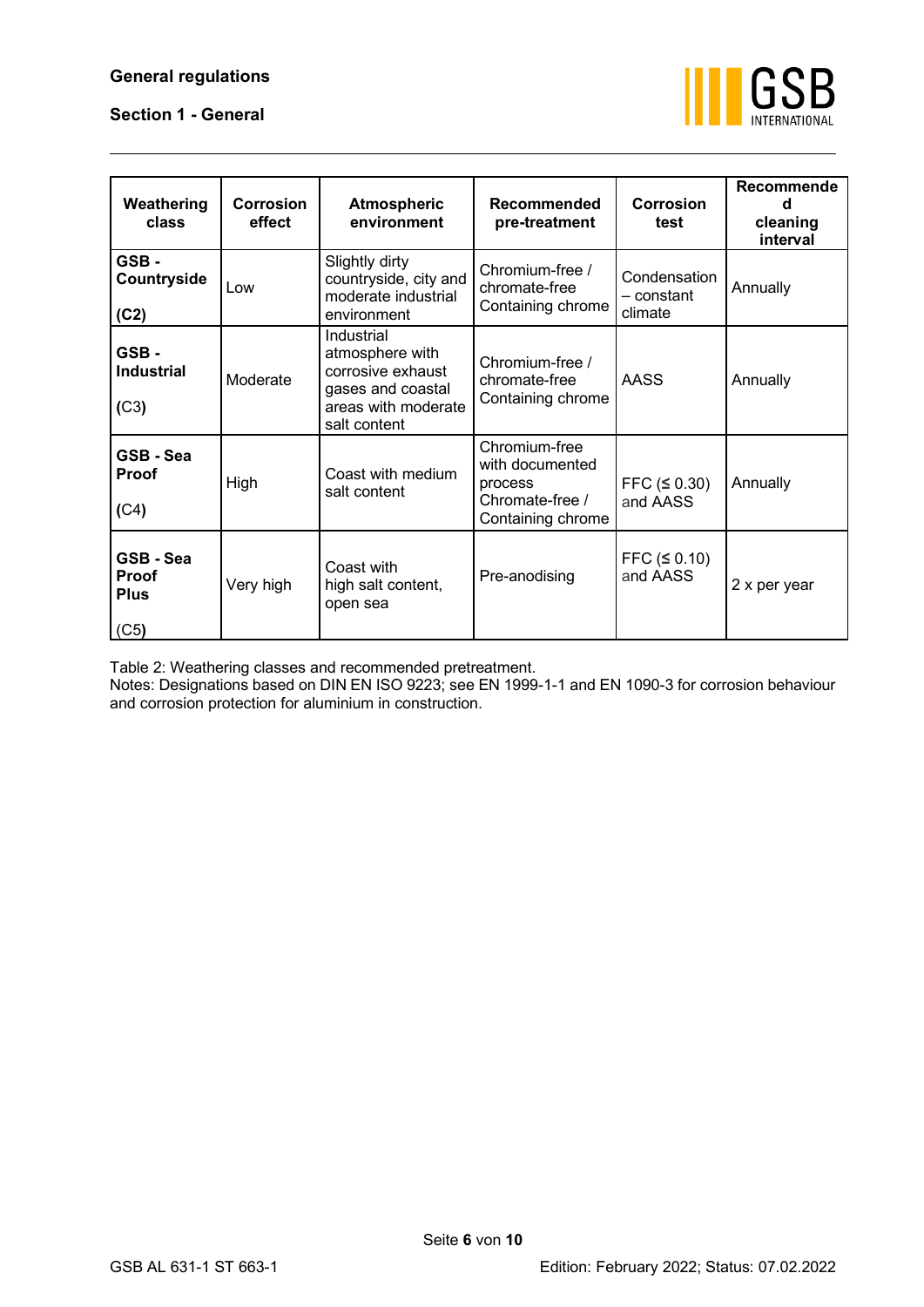## **General regulations**

## **Section 1 - General**



| Weathering<br>class                                  | Corrosion<br>effect                                                                                                                                                                 | Recommende<br>Recommended<br><b>Corrosion</b><br><b>Atmospheric</b><br>environment<br>pre-treatment<br>test |                                                                                     |                         |              |
|------------------------------------------------------|-------------------------------------------------------------------------------------------------------------------------------------------------------------------------------------|-------------------------------------------------------------------------------------------------------------|-------------------------------------------------------------------------------------|-------------------------|--------------|
| GSB-<br>Countryside<br>(C2)                          | Low                                                                                                                                                                                 | Slightly dirty<br>countryside, city and<br>moderate industrial<br>environment                               | Annually                                                                            |                         |              |
| GSB-<br><b>Industrial</b><br>(C3)                    | Industrial<br>atmosphere with<br>Chromium-free /<br>corrosive exhaust<br>Moderate<br>chromate-free<br>gases and coastal<br>Containing chrome<br>areas with moderate<br>salt content |                                                                                                             |                                                                                     | <b>AASS</b>             | Annually     |
| GSB-Sea<br><b>Proof</b><br>(C4)                      | High                                                                                                                                                                                | Coast with medium<br>salt content                                                                           | Chromium-free<br>with documented<br>process<br>Chromate-free /<br>Containing chrome | FFC (50.30)<br>and AASS | Annually     |
| GSB-Sea<br>Proof<br>Very high<br><b>Plus</b><br>(C5) |                                                                                                                                                                                     | Coast with<br>high salt content,<br>open sea                                                                | Pre-anodising                                                                       | FFC (50.10)<br>and AASS | 2 x per year |

Table 2: Weathering classes and recommended pretreatment.

Notes: Designations based on DIN EN ISO 9223; see EN 1999-1-1 and EN 1090-3 for corrosion behaviour and corrosion protection for aluminium in construction.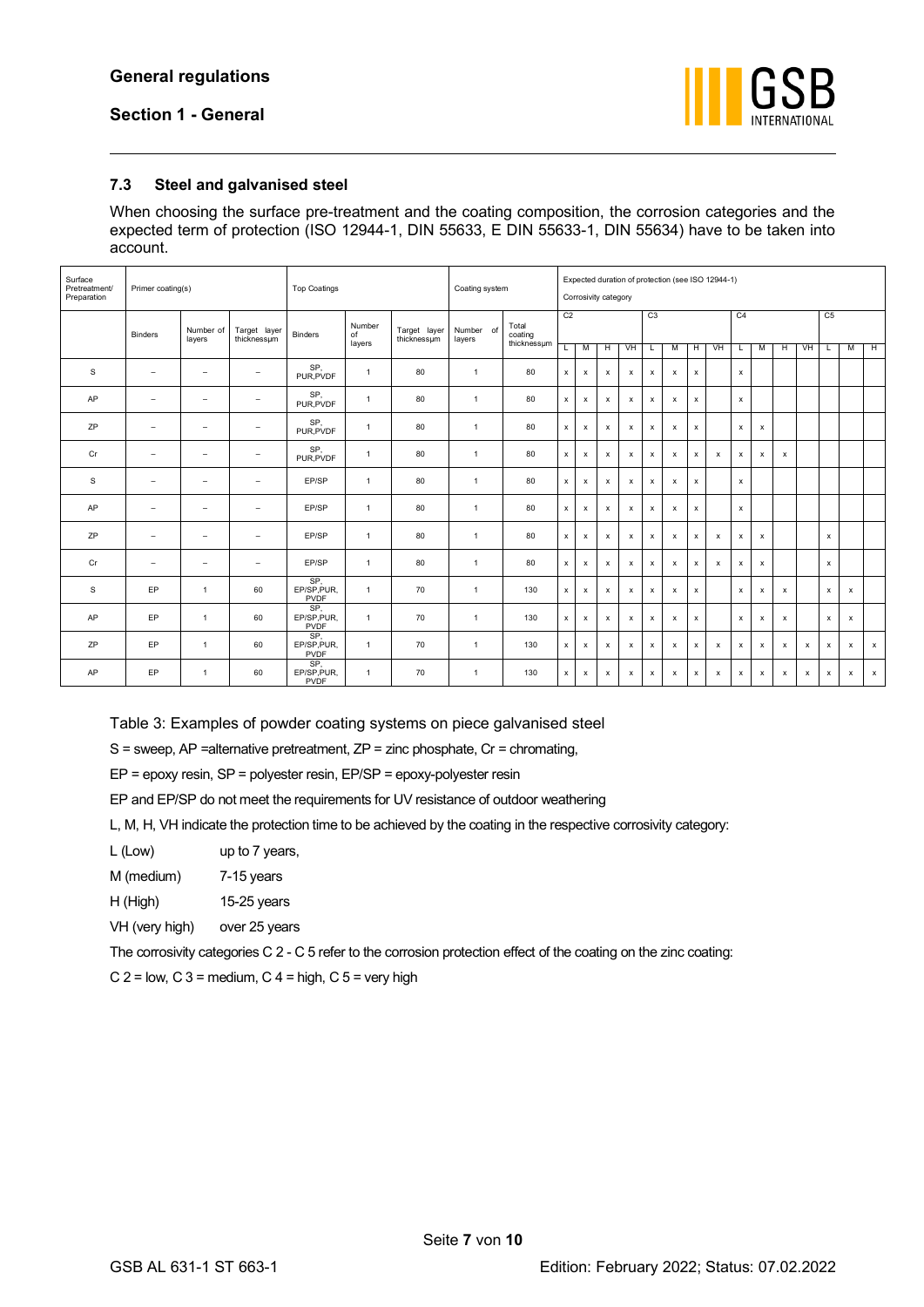

## <span id="page-8-0"></span>**7.3 Steel and galvanised steel**

When choosing the surface pre-treatment and the coating composition, the corrosion categories and the expected term of protection (ISO 12944-1, DIN 55633, E DIN 55633-1, DIN 55634) have to be taken into account.

| Surface<br>Pretreatment/<br>Preparation |                          | Primer coating(s)        |                             |                                   | <b>Top Coatings</b> |                             |                     |                                 |                |                           | Coating system |                           | Corrosivity category      |                           |                    |                           | Expected duration of protection (see ISO 12944-1) |              |                    |                           |                           |              |                           |  |  |  |
|-----------------------------------------|--------------------------|--------------------------|-----------------------------|-----------------------------------|---------------------|-----------------------------|---------------------|---------------------------------|----------------|---------------------------|----------------|---------------------------|---------------------------|---------------------------|--------------------|---------------------------|---------------------------------------------------|--------------|--------------------|---------------------------|---------------------------|--------------|---------------------------|--|--|--|
|                                         | Binders                  | Number of<br>layers      | Target layer<br>thicknessum | <b>Binders</b>                    | Number<br>of        | Target layer<br>thicknessum | Number of<br>layers | Total<br>coating<br>thicknessum | C <sub>2</sub> |                           |                |                           | C3                        |                           |                    |                           | C <sub>4</sub>                                    |              |                    |                           | C <sub>5</sub>            |              |                           |  |  |  |
|                                         |                          |                          |                             |                                   | layers              |                             |                     |                                 |                | M                         | Н              | VH                        | L                         | M                         | н                  | VH                        | L                                                 | M            | Ή                  | VH                        |                           | М            | $\overline{H}$            |  |  |  |
| S                                       | $\overline{\phantom{a}}$ | $\overline{\phantom{m}}$ | $\qquad \qquad =$           | SP.<br>PUR.PVDF                   | $\mathbf{1}$        | 80                          | $\overline{1}$      | 80                              | x              | $\pmb{\times}$            | x              | $\pmb{\mathsf{x}}$        | $\pmb{\mathsf{x}}$        | $\boldsymbol{x}$          | $\pmb{\mathsf{x}}$ |                           | $\pmb{\mathsf{x}}$                                |              |                    |                           |                           |              |                           |  |  |  |
| AP                                      | $\overline{\phantom{a}}$ | $\overline{\phantom{0}}$ | $\overline{\phantom{0}}$    | SP,<br>PUR, PVDF                  | $\mathbf{1}$        | 80                          | $\overline{1}$      | 80                              | x              | $\boldsymbol{\mathsf{x}}$ | $\pmb{\times}$ | $\pmb{\mathsf{x}}$        | $\boldsymbol{\mathsf{x}}$ | $\pmb{\times}$            | x                  |                           | $\pmb{\mathsf{x}}$                                |              |                    |                           |                           |              |                           |  |  |  |
| ZP                                      | $\qquad \qquad =$        | $\qquad \qquad =$        | $\overline{\phantom{0}}$    | SP.<br>PUR, PVDF                  | $\mathbf{1}$        | 80                          | $\overline{1}$      | 80                              | x              | $\boldsymbol{\mathsf{x}}$ | x              | х                         | $\pmb{\chi}$              | $\boldsymbol{\mathsf{x}}$ | $\mathsf x$        |                           | x                                                 | x            |                    |                           |                           |              |                           |  |  |  |
| Cr                                      | $\overline{\phantom{a}}$ | $\qquad \qquad =$        | $\qquad \qquad =$           | SP.<br>PUR.PVDF                   | $\mathbf{1}$        | 80                          | $\overline{1}$      | 80                              | x              | $\pmb{\chi}$              | x              | x                         | $\pmb{\chi}$              | x                         | x                  | $\pmb{\times}$            | x                                                 | x            | x                  |                           |                           |              |                           |  |  |  |
| s                                       | $\sim$                   | $\equiv$                 |                             | EP/SP                             | $\mathbf{1}$        | 80                          | $\overline{1}$      | 80                              | x              | $\boldsymbol{\mathsf{x}}$ | x              | $\boldsymbol{\mathsf{x}}$ | x                         | х                         | x                  |                           | $\pmb{\mathsf{x}}$                                |              |                    |                           |                           |              |                           |  |  |  |
| AP                                      | $\overline{\phantom{a}}$ | $\sim$                   | $\sim$                      | EP/SP                             | $\mathbf{1}$        | 80                          | $\overline{1}$      | 80                              | x              | $\pmb{\times}$            | x              | $\pmb{\mathsf{x}}$        | $\pmb{\chi}$              | $\pmb{\times}$            | x                  |                           | $\pmb{\mathsf{x}}$                                |              |                    |                           |                           |              |                           |  |  |  |
| ZP                                      | $\qquad \qquad =$        | $\overline{\phantom{0}}$ | $\overline{\phantom{0}}$    | EP/SP                             | $\mathbf{1}$        | 80                          | $\overline{1}$      | 80                              | x              | $\boldsymbol{\mathsf{x}}$ | $\pmb{\times}$ | $\pmb{\mathsf{x}}$        | $\boldsymbol{\mathsf{x}}$ | $\pmb{\times}$            | $\pmb{\chi}$       | $\pmb{\times}$            | $\pmb{\mathsf{x}}$                                | $\mathsf{x}$ |                    |                           | $\boldsymbol{\mathsf{x}}$ |              |                           |  |  |  |
| Cr                                      | $\qquad \qquad =$        | $\qquad \qquad =$        | $\qquad \qquad =$           | EP/SP                             | $\mathbf{1}$        | 80                          | $\overline{1}$      | 80                              | x              | $\boldsymbol{\mathsf{x}}$ | x              | х                         | x                         | х                         | x                  | $\boldsymbol{\mathsf{x}}$ | x                                                 | $\mathsf{x}$ |                    |                           | $\boldsymbol{\mathsf{x}}$ |              |                           |  |  |  |
| s                                       | EP                       | $\overline{1}$           | 60                          | SP.<br>EP/SP, PUR,<br>PVDF        | $\mathbf{1}$        | 70                          | $\overline{1}$      | 130                             | x              | $\pmb{\times}$            | x              | $\pmb{\mathsf{x}}$        | $\pmb{\chi}$              | $\pmb{\times}$            | $\mathsf x$        |                           | $\pmb{\mathsf{x}}$                                | x            | x                  |                           | $\pmb{\chi}$              | $\pmb{\chi}$ |                           |  |  |  |
| AP                                      | EP                       | $\overline{1}$           | 60                          | SP.<br>EP/SP, PUR,<br>PVDF        | $\mathbf{1}$        | 70                          | $\overline{1}$      | 130                             | x              | $\boldsymbol{\mathsf{x}}$ | x              | $\boldsymbol{\mathsf{x}}$ | $\pmb{\chi}$              | $\boldsymbol{\mathsf{x}}$ | x                  |                           | x                                                 | $\mathsf{x}$ | $\pmb{\mathsf{x}}$ |                           | $\boldsymbol{\mathsf{x}}$ | $\mathsf{x}$ |                           |  |  |  |
| ZP                                      | EP                       | $\overline{1}$           | 60                          | SP.<br>EP/SP, PUR,<br><b>PVDF</b> | $\mathbf{1}$        | 70                          | $\overline{1}$      | 130                             | x              | $\mathsf{x}$              | х              | x                         | $\mathsf{x}$              | $\mathsf{x}$              | x                  | $\mathsf{x}$              | x                                                 | $\mathsf{x}$ | $\mathsf{x}$       | $\boldsymbol{\mathsf{x}}$ | $\mathbf{x}$              | $\mathsf{x}$ | $\mathbf{x}$              |  |  |  |
| AP                                      | EP                       | $\overline{1}$           | 60                          | SP.<br>EP/SP, PUR,<br><b>PVDF</b> | $\mathbf{1}$        | 70                          | $\overline{1}$      | 130                             | x              | $\pmb{\mathsf{x}}$        | x              | x                         | x                         | x                         | x                  | $\pmb{\times}$            | x                                                 | x            | x                  | x                         | $\pmb{\chi}$              | $\pmb{\chi}$ | $\boldsymbol{\mathsf{x}}$ |  |  |  |

Table 3: Examples of powder coating systems on piece galvanised steel

 $S$  = sweep, AP =alternative pretreatment, ZP = zinc phosphate, Cr = chromating,

EP = epoxy resin, SP = polyester resin, EP/SP = epoxy-polyester resin

EP and EP/SP do not meet the requirements for UV resistance of outdoor weathering

L, M, H, VH indicate the protection time to be achieved by the coating in the respective corrosivity category:

L (Low) up to 7 years,

M (medium) 7-15 years

H (High) 15-25 years

VH (very high) over 25 years

The corrosivity categories C 2 - C 5 refer to the corrosion protection effect of the coating on the zinc coating:

 $C$  2 = low,  $C$  3 = medium,  $C$  4 = high,  $C$  5 = very high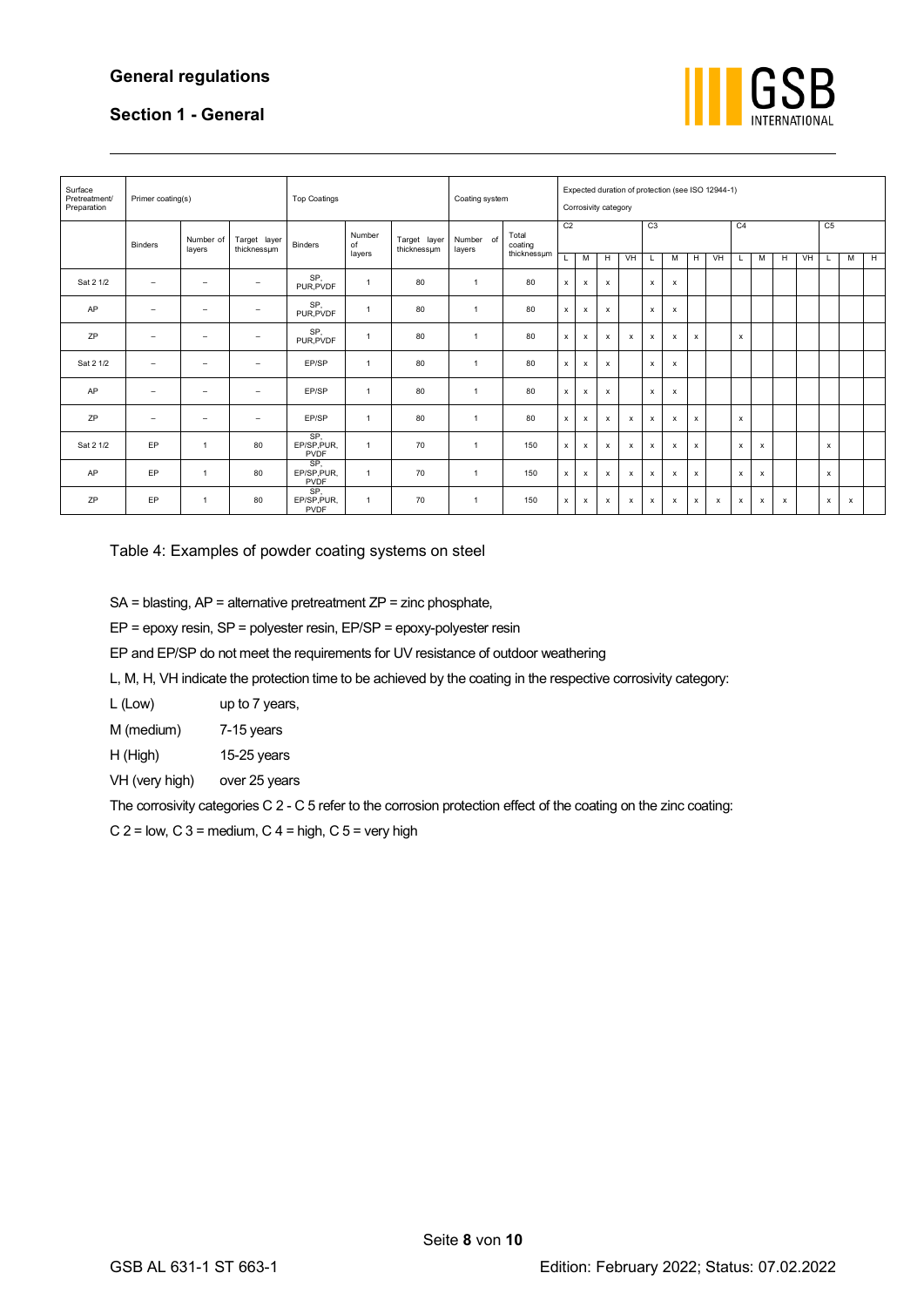## **General regulations**



## **Section 1 - General**

| Surface<br>Pretreatment/<br>Preparation | Primer coating(s)        |                          |                             | <b>Top Coatings</b>               |                        |                             |                     | Coating system                  |                |                           | Expected duration of protection (see ISO 12944-1)<br>Corrosivity category |                           |                           |                           |                           |    |                           |                           |   |           |                |                           |                |
|-----------------------------------------|--------------------------|--------------------------|-----------------------------|-----------------------------------|------------------------|-----------------------------|---------------------|---------------------------------|----------------|---------------------------|---------------------------------------------------------------------------|---------------------------|---------------------------|---------------------------|---------------------------|----|---------------------------|---------------------------|---|-----------|----------------|---------------------------|----------------|
|                                         | <b>Binders</b>           | Number of<br>layers      | Target layer<br>thicknessum | <b>Binders</b>                    | Number<br>of<br>layers | Target layer<br>thicknessum | Number of<br>layers | Total<br>coating<br>thicknessum | C <sub>2</sub> |                           |                                                                           |                           | C <sub>3</sub>            |                           |                           |    | C <sub>4</sub>            |                           |   |           | C <sub>5</sub> |                           |                |
|                                         |                          |                          |                             |                                   |                        |                             |                     |                                 | L              | м                         | н                                                                         | <b>VH</b>                 |                           | M                         | H                         | VH |                           | M                         | H | <b>VH</b> | L.             | M                         | $\overline{H}$ |
| Sat 2 1/2                               | $\overline{\phantom{a}}$ | $\overline{\phantom{0}}$ | $\overline{\phantom{0}}$    | SP.<br>PUR.PVDF                   | $\mathbf{1}$           | 80                          | $\overline{1}$      | 80                              | $\pmb{\times}$ | $\boldsymbol{\mathsf{x}}$ | $\boldsymbol{\mathsf{x}}$                                                 |                           | $\boldsymbol{\mathsf{x}}$ | $\boldsymbol{\mathsf{x}}$ |                           |    |                           |                           |   |           |                |                           |                |
| AP                                      | $\qquad \qquad =$        | $\overline{\phantom{m}}$ | $\equiv$                    | SP,<br>PUR, PVDF                  | $\mathbf{1}$           | 80                          | $\overline{1}$      | 80                              | x              | $\boldsymbol{\mathsf{x}}$ | $\boldsymbol{\mathsf{x}}$                                                 |                           | $\boldsymbol{\mathsf{x}}$ | $\boldsymbol{\mathsf{x}}$ |                           |    |                           |                           |   |           |                |                           |                |
| ZP                                      | $\qquad \qquad =$        | $\overline{\phantom{0}}$ | $\equiv$                    | SP.<br>PUR, PVDF                  | $\overline{1}$         | 80                          | $\overline{1}$      | 80                              | x              | $\boldsymbol{\mathsf{x}}$ | $\boldsymbol{\mathsf{x}}$                                                 | $\mathsf{x}$              | $\boldsymbol{\mathsf{x}}$ | $\boldsymbol{\mathsf{x}}$ | $\boldsymbol{\mathsf{x}}$ |    | $\boldsymbol{\mathsf{x}}$ |                           |   |           |                |                           |                |
| Sat 2 1/2                               | $\overline{\phantom{a}}$ | $\qquad \qquad =$        | $\equiv$                    | EP/SP                             | $\mathbf{1}$           | 80                          | $\overline{1}$      | 80                              | x              | x                         | $\boldsymbol{\mathsf{x}}$                                                 |                           | $\boldsymbol{\mathsf{x}}$ | x                         |                           |    |                           |                           |   |           |                |                           |                |
| AP                                      | $\qquad \qquad =$        | $\overline{\phantom{m}}$ | $\overline{\phantom{0}}$    | EP/SP                             | $\mathbf{1}$           | 80                          | $\overline{1}$      | 80                              | $\pmb{\times}$ | $\boldsymbol{\mathsf{x}}$ | $\boldsymbol{\mathsf{x}}$                                                 |                           | $\boldsymbol{\mathsf{x}}$ | $\boldsymbol{\mathsf{x}}$ |                           |    |                           |                           |   |           |                |                           |                |
| ZP                                      | $\qquad \qquad =$        | -                        | ۰                           | EP/SP                             | $\mathbf{1}$           | 80                          | $\overline{1}$      | 80                              | x              | x                         | $\boldsymbol{\mathsf{x}}$                                                 | $\boldsymbol{\mathsf{x}}$ | $\boldsymbol{\mathsf{x}}$ | $\boldsymbol{\mathsf{x}}$ | $\boldsymbol{\mathsf{x}}$ |    | $\pmb{\mathsf{x}}$        |                           |   |           |                |                           |                |
| Sat 2 1/2                               | EP                       | $\mathbf{1}$             | 80                          | SP.<br>EP/SP, PUR,<br>PVDF        | $\mathbf{1}$           | 70                          | $\overline{1}$      | 150                             | $\pmb{\chi}$   | $\boldsymbol{\mathsf{x}}$ | $\boldsymbol{\mathsf{x}}$                                                 | $\mathsf{x}$              | $\mathsf{x}$              | $\boldsymbol{\mathsf{x}}$ | $\mathbf{x}$              |    | $\boldsymbol{\mathsf{x}}$ | $\boldsymbol{\mathsf{x}}$ |   |           | $\mathbf{x}$   |                           |                |
| AP                                      | EP                       | $\mathbf{1}$             | 80                          | SP.<br>EP/SP, PUR,<br>PVDF        | $\mathbf{1}$           | 70                          | $\overline{1}$      | 150                             | x              | x                         | $\boldsymbol{\mathsf{x}}$                                                 | $\boldsymbol{\mathsf{x}}$ | x                         | x                         | $\pmb{\times}$            |    | $\boldsymbol{\mathsf{x}}$ | х                         |   |           | х              |                           |                |
| ZP                                      | EP                       | $\overline{1}$           | 80                          | SP.<br>EP/SP, PUR,<br><b>PVDF</b> | $\mathbf{1}$           | 70                          | $\overline{1}$      | 150                             | x              | x                         | x                                                                         | x                         | x                         | x                         | х                         | х  | x                         | х                         | х |           | х              | $\boldsymbol{\mathsf{x}}$ |                |

Table 4: Examples of powder coating systems on steel

SA = blasting, AP = alternative pretreatment ZP = zinc phosphate,

EP = epoxy resin, SP = polyester resin, EP/SP = epoxy-polyester resin

EP and EP/SP do not meet the requirements for UV resistance of outdoor weathering

L, M, H, VH indicate the protection time to be achieved by the coating in the respective corrosivity category:

| L (Low) | up to 7 years, |
|---------|----------------|
|         |                |

M (medium) 7-15 years

H (High) 15-25 years

VH (very high) over 25 years

The corrosivity categories C 2 - C 5 refer to the corrosion protection effect of the coating on the zinc coating:

 $C$  2 = low,  $C$  3 = medium,  $C$  4 = high,  $C$  5 = very high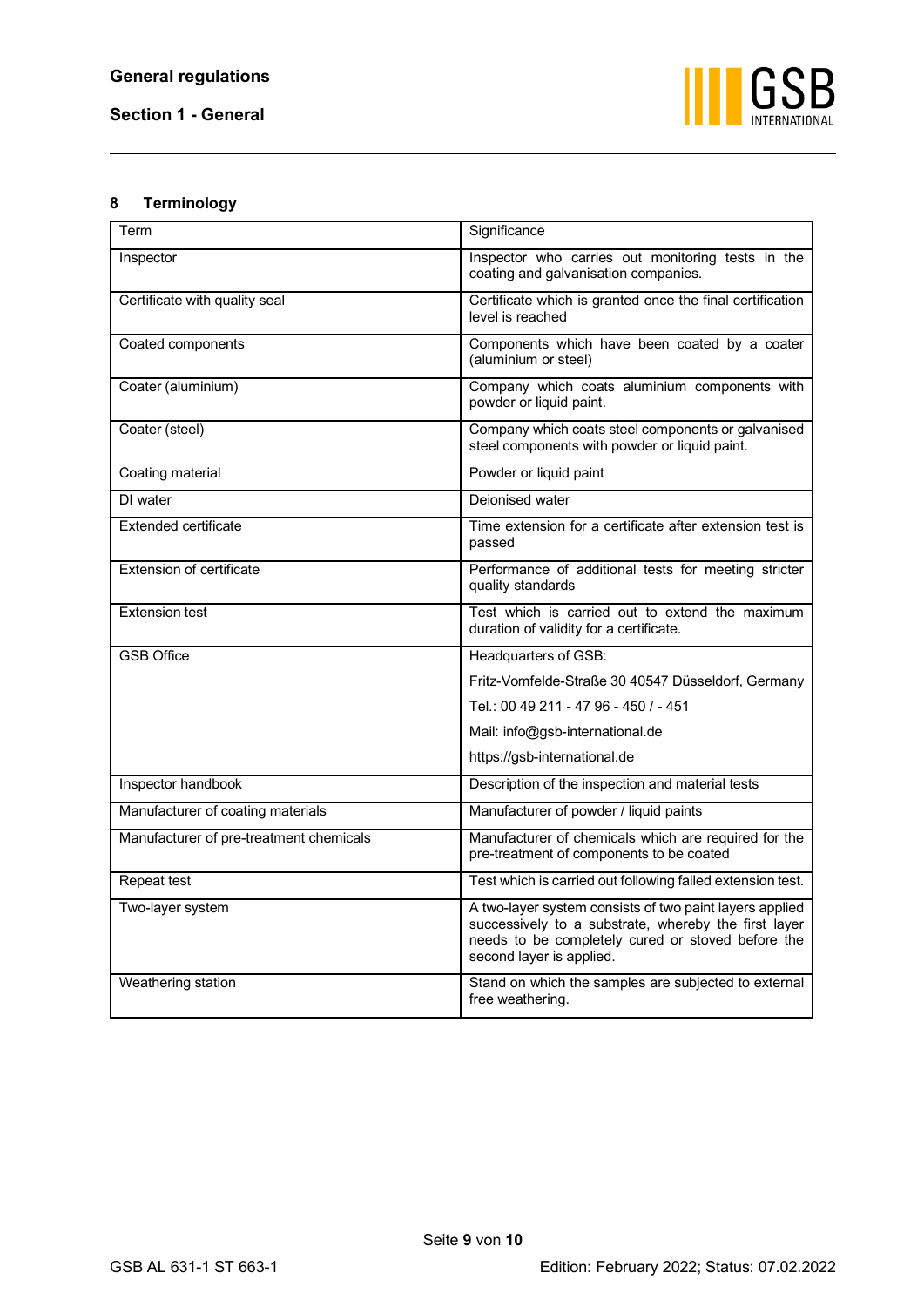

## <span id="page-10-0"></span>**8 Terminology**

| Term                                    | Significance                                                                                                                                                                                     |
|-----------------------------------------|--------------------------------------------------------------------------------------------------------------------------------------------------------------------------------------------------|
| Inspector                               | Inspector who carries out monitoring tests in the<br>coating and galvanisation companies.                                                                                                        |
| Certificate with quality seal           | Certificate which is granted once the final certification<br>level is reached                                                                                                                    |
| Coated components                       | Components which have been coated by a coater<br>(aluminium or steel)                                                                                                                            |
| Coater (aluminium)                      | Company which coats aluminium components with<br>powder or liquid paint.                                                                                                                         |
| Coater (steel)                          | Company which coats steel components or galvanised<br>steel components with powder or liquid paint.                                                                                              |
| Coating material                        | Powder or liquid paint                                                                                                                                                                           |
| DI water                                | Deionised water                                                                                                                                                                                  |
| <b>Extended certificate</b>             | Time extension for a certificate after extension test is<br>passed                                                                                                                               |
| <b>Extension of certificate</b>         | Performance of additional tests for meeting stricter<br>quality standards                                                                                                                        |
| <b>Extension test</b>                   | Test which is carried out to extend the maximum<br>duration of validity for a certificate.                                                                                                       |
| <b>GSB Office</b>                       | Headquarters of GSB:                                                                                                                                                                             |
|                                         | Fritz-Vomfelde-Straße 30 40547 Düsseldorf, Germany                                                                                                                                               |
|                                         | Tel.: 00 49 211 - 47 96 - 450 / - 451                                                                                                                                                            |
|                                         | Mail: info@gsb-international.de                                                                                                                                                                  |
|                                         | https://gsb-international.de                                                                                                                                                                     |
| Inspector handbook                      | Description of the inspection and material tests                                                                                                                                                 |
| Manufacturer of coating materials       | Manufacturer of powder / liquid paints                                                                                                                                                           |
| Manufacturer of pre-treatment chemicals | Manufacturer of chemicals which are required for the<br>pre-treatment of components to be coated                                                                                                 |
| Repeat test                             | Test which is carried out following failed extension test.                                                                                                                                       |
| Two-layer system                        | A two-layer system consists of two paint layers applied<br>successively to a substrate, whereby the first layer<br>needs to be completely cured or stoved before the<br>second layer is applied. |
| Weathering station                      | Stand on which the samples are subjected to external<br>free weathering.                                                                                                                         |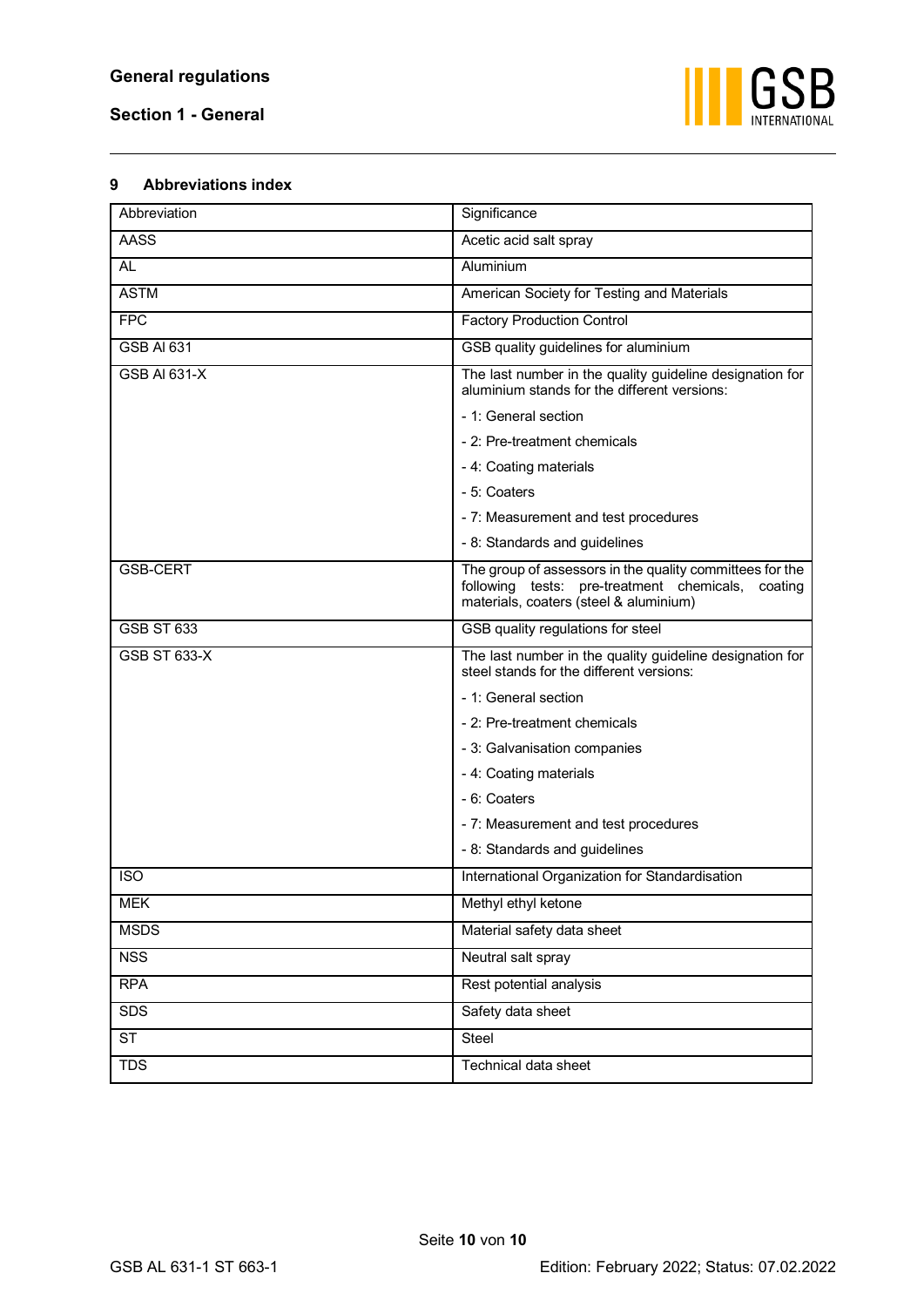

#### <span id="page-11-0"></span>**9 Abbreviations index**

| Abbreviation        | Significance                                                                                                                                            |
|---------------------|---------------------------------------------------------------------------------------------------------------------------------------------------------|
| AASS                | Acetic acid salt spray                                                                                                                                  |
| <b>AL</b>           | Aluminium                                                                                                                                               |
| <b>ASTM</b>         | American Society for Testing and Materials                                                                                                              |
| <b>FPC</b>          | <b>Factory Production Control</b>                                                                                                                       |
| <b>GSB AI 631</b>   | GSB quality guidelines for aluminium                                                                                                                    |
| <b>GSB AI 631-X</b> | The last number in the quality guideline designation for<br>aluminium stands for the different versions:                                                |
|                     | - 1: General section                                                                                                                                    |
|                     | - 2: Pre-treatment chemicals                                                                                                                            |
|                     | - 4: Coating materials                                                                                                                                  |
|                     | - 5: Coaters                                                                                                                                            |
|                     | - 7: Measurement and test procedures                                                                                                                    |
|                     | - 8: Standards and guidelines                                                                                                                           |
| <b>GSB-CERT</b>     | The group of assessors in the quality committees for the<br>following tests: pre-treatment chemicals, coating<br>materials, coaters (steel & aluminium) |
| <b>GSB ST 633</b>   | GSB quality regulations for steel                                                                                                                       |
| GSB ST 633-X        | The last number in the quality guideline designation for<br>steel stands for the different versions:                                                    |
|                     | - 1: General section                                                                                                                                    |
|                     | - 2: Pre-treatment chemicals                                                                                                                            |
|                     | - 3: Galvanisation companies                                                                                                                            |
|                     | - 4: Coating materials                                                                                                                                  |
|                     | - 6: Coaters                                                                                                                                            |
|                     | - 7: Measurement and test procedures                                                                                                                    |
|                     | - 8: Standards and guidelines                                                                                                                           |
| <b>ISO</b>          | International Organization for Standardisation                                                                                                          |
| <b>MEK</b>          | Methyl ethyl ketone                                                                                                                                     |
| <b>MSDS</b>         | Material safety data sheet                                                                                                                              |
| <b>NSS</b>          | Neutral salt spray                                                                                                                                      |
| <b>RPA</b>          | Rest potential analysis                                                                                                                                 |
| <b>SDS</b>          | Safety data sheet                                                                                                                                       |
| <b>ST</b>           | Steel                                                                                                                                                   |
| <b>TDS</b>          | Technical data sheet                                                                                                                                    |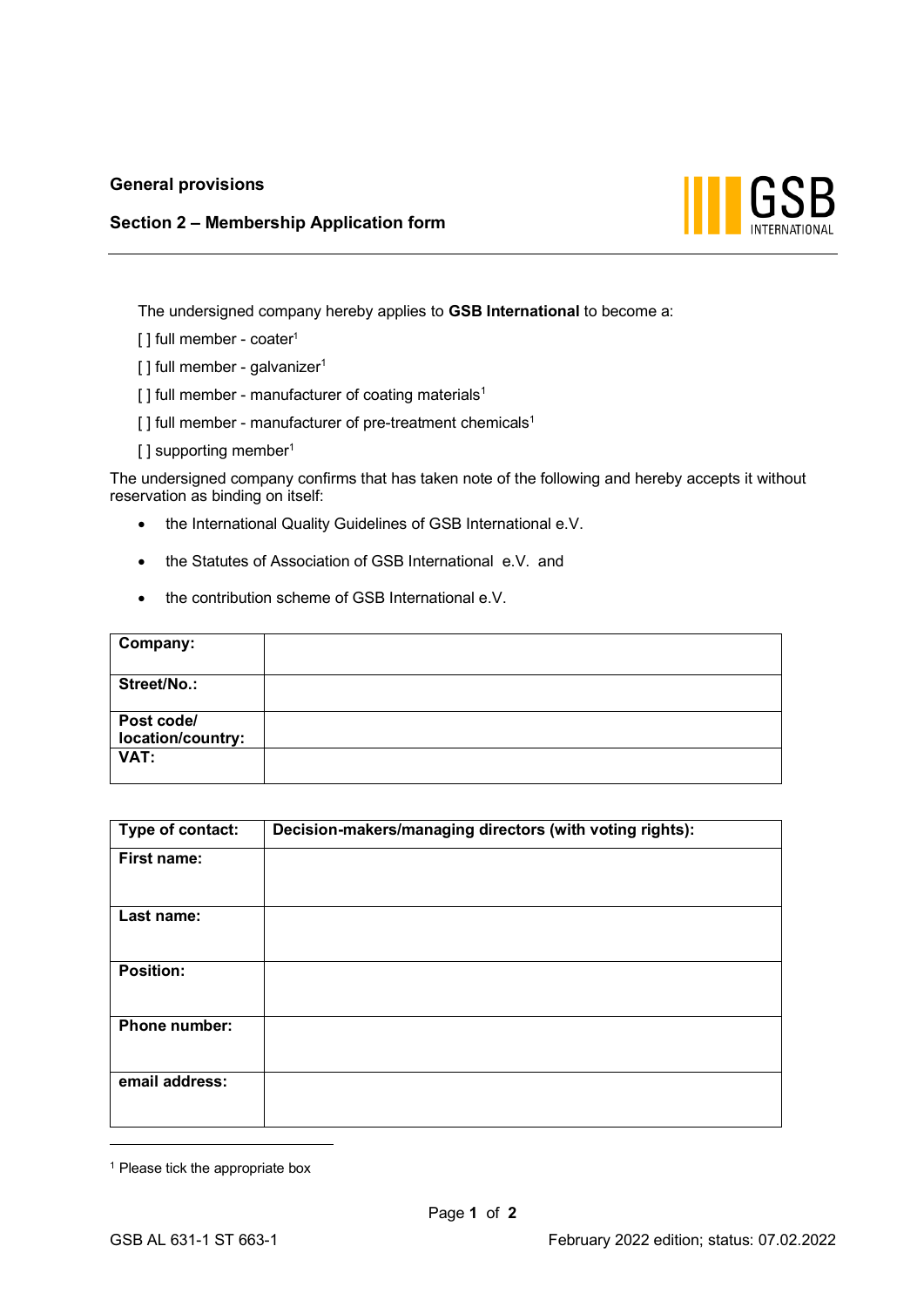## **General provisions**

## **Section 2 – Membership Application form**



The undersigned company hereby applies to **GSB International** to become a:

- [] full member coater<sup>1</sup>
- $[ ]$  full member galvanizer<sup>1</sup>
- $[ ]$  full member manufacturer of coating materials<sup>1</sup>
- $\lceil$  ] full member manufacturer of pre-treatment chemicals<sup>1</sup>
- [] supporting member<sup>1</sup>

The undersigned company confirms that has taken note of the following and hereby accepts it without reservation as binding on itself:

- the International Quality Guidelines of GSB International e.V.
- the Statutes of Association of GSB International e.V. and
- the contribution scheme of GSB International e.V.

| Company:                        |  |
|---------------------------------|--|
|                                 |  |
| Street/No.:                     |  |
| Post code/<br>location/country: |  |
| VAT:                            |  |

| Type of contact:     | Decision-makers/managing directors (with voting rights): |
|----------------------|----------------------------------------------------------|
| First name:          |                                                          |
| Last name:           |                                                          |
| <b>Position:</b>     |                                                          |
| <b>Phone number:</b> |                                                          |
| email address:       |                                                          |

<sup>&</sup>lt;sup>1</sup> Please tick the appropriate box